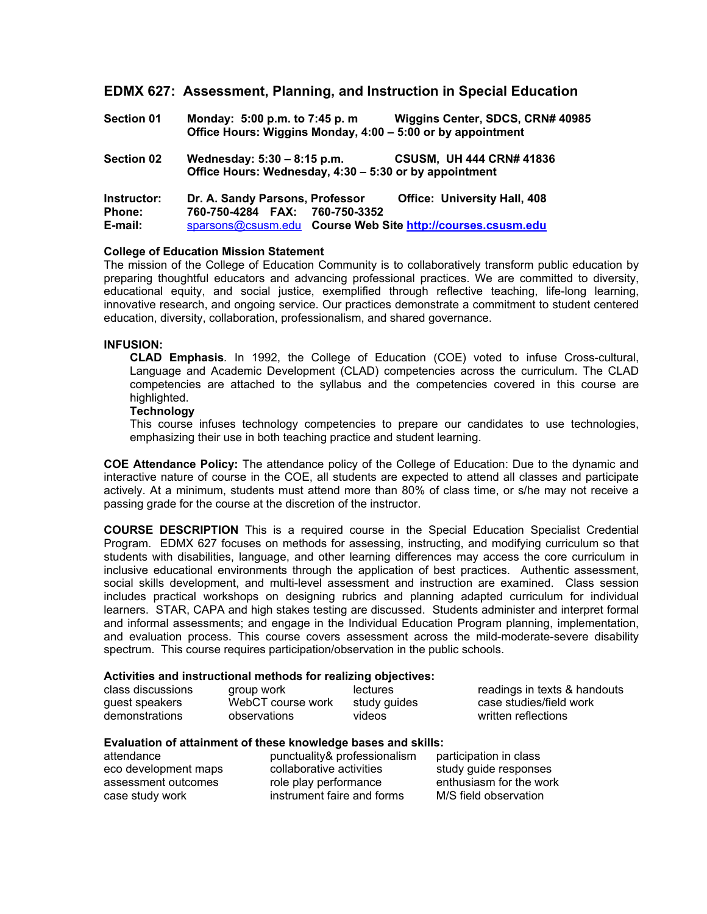## **EDMX 627: Assessment, Planning, and Instruction in Special Education**

| <b>Section 01</b>                       | Monday: 5:00 p.m. to 7:45 p.m.<br>Office Hours: Wiggins Monday, 4:00 - 5:00 or by appointment                                    | Wiggins Center, SDCS, CRN# 40985    |
|-----------------------------------------|----------------------------------------------------------------------------------------------------------------------------------|-------------------------------------|
| <b>Section 02</b>                       | <b>CSUSM, UH 444 CRN# 41836</b><br>Wednesday: 5:30 - 8:15 p.m.<br>Office Hours: Wednesday, 4:30 – 5:30 or by appointment         |                                     |
| Instructor:<br><b>Phone:</b><br>E-mail: | Dr. A. Sandy Parsons, Professor<br>760-750-4284 FAX: 760-750-3352<br>sparsons@csusm.edu Course Web Site http://courses.csusm.edu | <b>Office: University Hall, 408</b> |

## **College of Education Mission Statement**

The mission of the College of Education Community is to collaboratively transform public education by preparing thoughtful educators and advancing professional practices. We are committed to diversity, educational equity, and social justice, exemplified through reflective teaching, life-long learning, innovative research, and ongoing service. Our practices demonstrate a commitment to student centered education, diversity, collaboration, professionalism, and shared governance.

## **INFUSION:**

**CLAD Emphasis***.* In 1992, the College of Education (COE) voted to infuse Cross-cultural, Language and Academic Development (CLAD) competencies across the curriculum. The CLAD competencies are attached to the syllabus and the competencies covered in this course are highlighted.

## **Technology**

This course infuses technology competencies to prepare our candidates to use technologies, emphasizing their use in both teaching practice and student learning.

**COE Attendance Policy:** The attendance policy of the College of Education: Due to the dynamic and interactive nature of course in the COE, all students are expected to attend all classes and participate actively. At a minimum, students must attend more than 80% of class time, or s/he may not receive a passing grade for the course at the discretion of the instructor.

**COURSE DESCRIPTION** This is a required course in the Special Education Specialist Credential Program. EDMX 627 focuses on methods for assessing, instructing, and modifying curriculum so that students with disabilities, language, and other learning differences may access the core curriculum in inclusive educational environments through the application of best practices. Authentic assessment, social skills development, and multi-level assessment and instruction are examined. Class session includes practical workshops on designing rubrics and planning adapted curriculum for individual learners. STAR, CAPA and high stakes testing are discussed. Students administer and interpret formal and informal assessments; and engage in the Individual Education Program planning, implementation, and evaluation process. This course covers assessment across the mild-moderate-severe disability spectrum. This course requires participation/observation in the public schools.

## **Activities and instructional methods for realizing objectives:**

| class discussions | group work        | <b>lectures</b> | readings in texts & handouts |
|-------------------|-------------------|-----------------|------------------------------|
| guest speakers    | WebCT course work | study guides    | case studies/field work      |
| demonstrations    | observations      | videos          | written reflections          |

## **Evaluation of attainment of these knowledge bases and skills:**

| attendance           | punctuality& professionalism | participation in class  |
|----------------------|------------------------------|-------------------------|
| eco development maps | collaborative activities     | study guide responses   |
| assessment outcomes  | role play performance        | enthusiasm for the work |
| case study work      | instrument faire and forms   | M/S field observation   |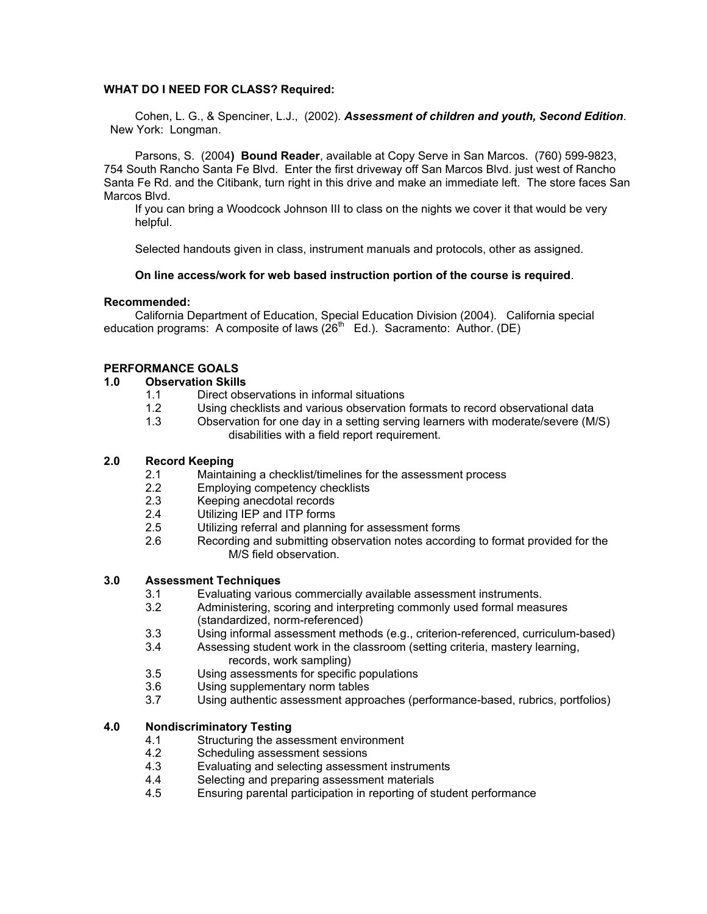## **WHAT DO I NEED FOR CLASS? Required:**

 Cohen, L. G., & Spenciner, L.J., (2002). *Assessment of children and youth, Second Edition*. New York: Longman.

 Parsons, S. (2004**) Bound Reader**, available at Copy Serve in San Marcos. (760) 599-9823, 754 South Rancho Santa Fe Blvd. Enter the first driveway off San Marcos Blvd. just west of Rancho Santa Fe Rd. and the Citibank, turn right in this drive and make an immediate left. The store faces San Marcos Blvd.

 If you can bring a Woodcock Johnson III to class on the nights we cover it that would be very helpful.

Selected handouts given in class, instrument manuals and protocols, other as assigned.

## **On line access/work for web based instruction portion of the course is required**.

### **Recommended:**

 California Department of Education, Special Education Division (2004). California special education programs: A composite of laws  $(26<sup>th</sup>$  Ed.). Sacramento: Author. (DE)

## **PERFORMANCE GOALS**

## **1.0 Observation Skills**

- 1.1 Direct observations in informal situations
- 1.2 Using checklists and various observation formats to record observational data
- 1.3 Observation for one day in a setting serving learners with moderate/severe (M/S) disabilities with a field report requirement.

## **2.0 Record Keeping**

- 2.1 Maintaining a checklist/timelines for the assessment process
- 2.2 Employing competency checklists
- 2.3 Keeping anecdotal records
- 2.4 Utilizing IEP and ITP forms
- 2.5 Utilizing referral and planning for assessment forms
- 2.6 Recording and submitting observation notes according to format provided for the M/S field observation.

## **3.0 Assessment Techniques**

- 3.1 Evaluating various commercially available assessment instruments.
- 3.2 Administering, scoring and interpreting commonly used formal measures (standardized, norm-referenced)
- 3.3 Using informal assessment methods (e.g., criterion-referenced, curriculum-based)<br>3.4 Assessing student work in the classroom (setting criteria, mastery learning,
	- Assessing student work in the classroom (setting criteria, mastery learning, records, work sampling)
- 3.5 Using assessments for specific populations
- 3.6 Using supplementary norm tables
- 3.7 Using authentic assessment approaches (performance-based, rubrics, portfolios)

## **4.0 Nondiscriminatory Testing**

- 4.1 Structuring the assessment environment
- 4.2 Scheduling assessment sessions
- 4.3 Evaluating and selecting assessment instruments
- 4.4 Selecting and preparing assessment materials
- 4.5 Ensuring parental participation in reporting of student performance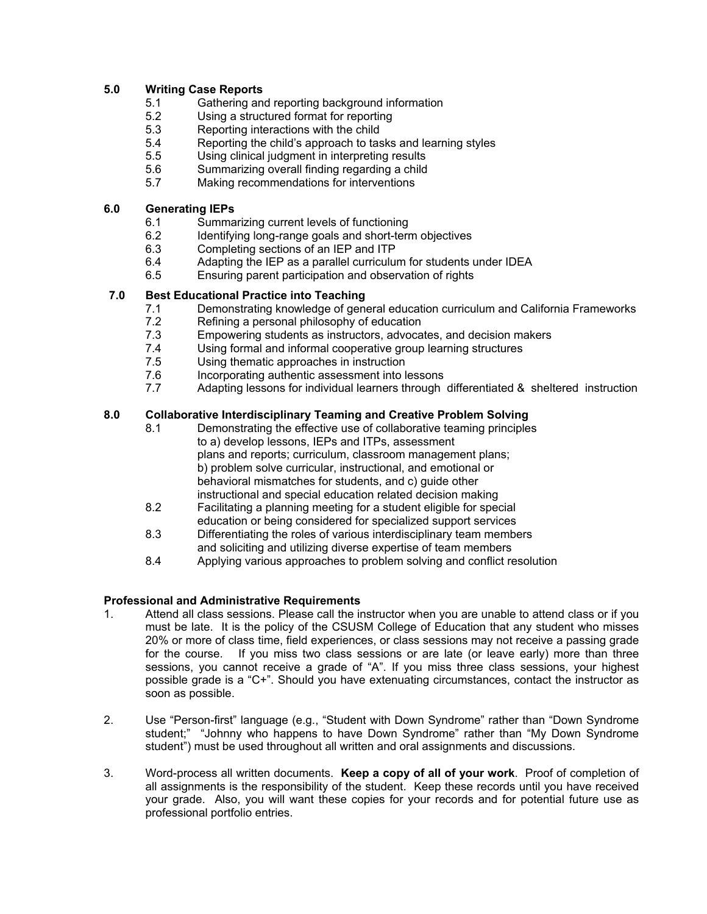## **5.0 Writing Case Reports**

- 5.1 Gathering and reporting background information<br>5.2 Using a structured format for reporting
- Using a structured format for reporting
- 5.3 Reporting interactions with the child
- 5.4 Reporting the child's approach to tasks and learning styles
- 5.5 Using clinical judgment in interpreting results
- 5.6 Summarizing overall finding regarding a child
- 5.7 Making recommendations for interventions

## **6.0 Generating IEPs**

- 6.1 Summarizing current levels of functioning
- 6.2 Identifying long-range goals and short-term objectives<br>6.3 Completing sections of an IEP and ITP
- Completing sections of an IEP and ITP
- 6.4 Adapting the IEP as a parallel curriculum for students under IDEA
- 6.5 Ensuring parent participation and observation of rights

## **7.0 Best Educational Practice into Teaching**

- 7.1 Demonstrating knowledge of general education curriculum and California Frameworks
- 7.2 Refining a personal philosophy of education<br>7.3 Empowering students as instructors, advoca
- Empowering students as instructors, advocates, and decision makers
- 7.4 Using formal and informal cooperative group learning structures
- 7.5 Using thematic approaches in instruction
- 7.6 Incorporating authentic assessment into lessons
- 7.7 Adapting lessons for individual learners through differentiated & sheltered instruction

## **8.0 Collaborative Interdisciplinary Teaming and Creative Problem Solving**

- 8.1 Demonstrating the effective use of collaborative teaming principles to a) develop lessons, IEPs and ITPs, assessment plans and reports; curriculum, classroom management plans; b) problem solve curricular, instructional, and emotional or behavioral mismatches for students, and c) guide other instructional and special education related decision making<br>8.2 Facilitating a planning meeting for a student eligible for spec
- Facilitating a planning meeting for a student eligible for special education or being considered for specialized support services
- 8.3 Differentiating the roles of various interdisciplinary team members and soliciting and utilizing diverse expertise of team members
- 8.4 Applying various approaches to problem solving and conflict resolution

## **Professional and Administrative Requirements**

- 1. Attend all class sessions. Please call the instructor when you are unable to attend class or if you must be late. It is the policy of the CSUSM College of Education that any student who misses 20% or more of class time, field experiences, or class sessions may not receive a passing grade for the course. If you miss two class sessions or are late (or leave early) more than three sessions, you cannot receive a grade of "A". If you miss three class sessions, your highest possible grade is a "C+". Should you have extenuating circumstances, contact the instructor as soon as possible.
- 2. Use "Person-first" language (e.g., "Student with Down Syndrome" rather than "Down Syndrome student;" "Johnny who happens to have Down Syndrome" rather than "My Down Syndrome student") must be used throughout all written and oral assignments and discussions.
- 3. Word-process all written documents. **Keep a copy of all of your work**. Proof of completion of all assignments is the responsibility of the student. Keep these records until you have received your grade. Also, you will want these copies for your records and for potential future use as professional portfolio entries.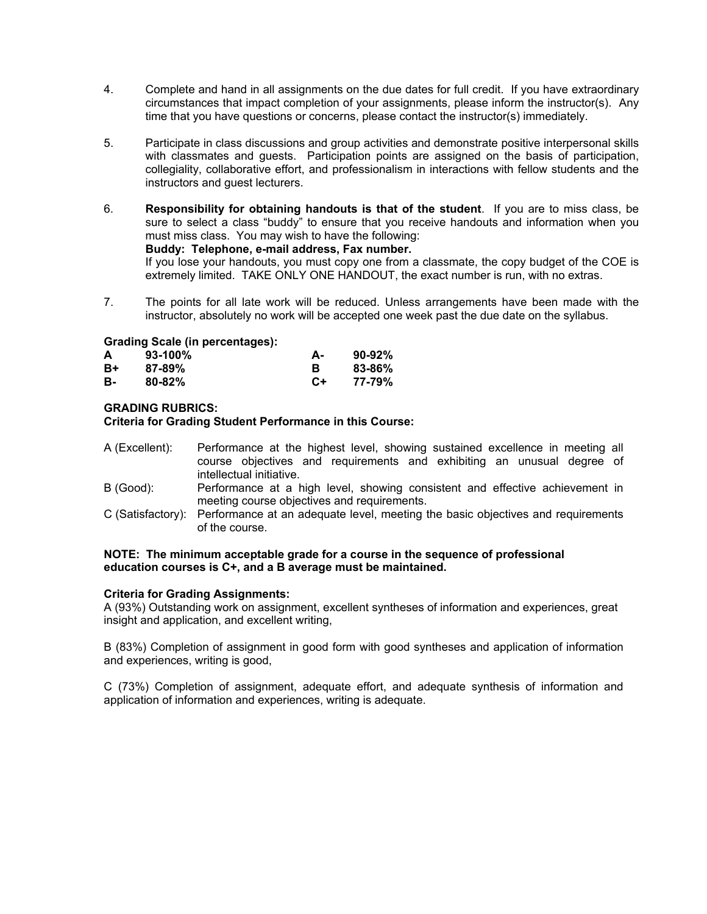- 4. Complete and hand in all assignments on the due dates for full credit. If you have extraordinary circumstances that impact completion of your assignments, please inform the instructor(s). Any time that you have questions or concerns, please contact the instructor(s) immediately.
- 5. Participate in class discussions and group activities and demonstrate positive interpersonal skills with classmates and guests. Participation points are assigned on the basis of participation, collegiality, collaborative effort, and professionalism in interactions with fellow students and the instructors and guest lecturers.
- 6. **Responsibility for obtaining handouts is that of the student**. If you are to miss class, be sure to select a class "buddy" to ensure that you receive handouts and information when you must miss class. You may wish to have the following:

## **Buddy: Telephone, e-mail address, Fax number.**

 If you lose your handouts, you must copy one from a classmate, the copy budget of the COE is extremely limited. TAKE ONLY ONE HANDOUT, the exact number is run, with no extras.

7. The points for all late work will be reduced. Unless arrangements have been made with the instructor, absolutely no work will be accepted one week past the due date on the syllabus.

## **Grading Scale (in percentages):**

| A  | $93-100%$  | А-   | $90-92%$   |
|----|------------|------|------------|
| R+ | $87 - 89%$ |      | $83 - 86%$ |
| в. | $80 - 82%$ | $C+$ | 77-79%     |

## **GRADING RUBRICS:**

## **Criteria for Grading Student Performance in this Course:**

- A (Excellent): Performance at the highest level, showing sustained excellence in meeting all course objectives and requirements and exhibiting an unusual degree of intellectual initiative.
- B (Good): Performance at a high level, showing consistent and effective achievement in meeting course objectives and requirements.
- C (Satisfactory): Performance at an adequate level, meeting the basic objectives and requirements of the course.

### **NOTE: The minimum acceptable grade for a course in the sequence of professional education courses is C+, and a B average must be maintained.**

## **Criteria for Grading Assignments:**

A (93%) Outstanding work on assignment, excellent syntheses of information and experiences, great insight and application, and excellent writing,

B (83%) Completion of assignment in good form with good syntheses and application of information and experiences, writing is good,

C (73%) Completion of assignment, adequate effort, and adequate synthesis of information and application of information and experiences, writing is adequate.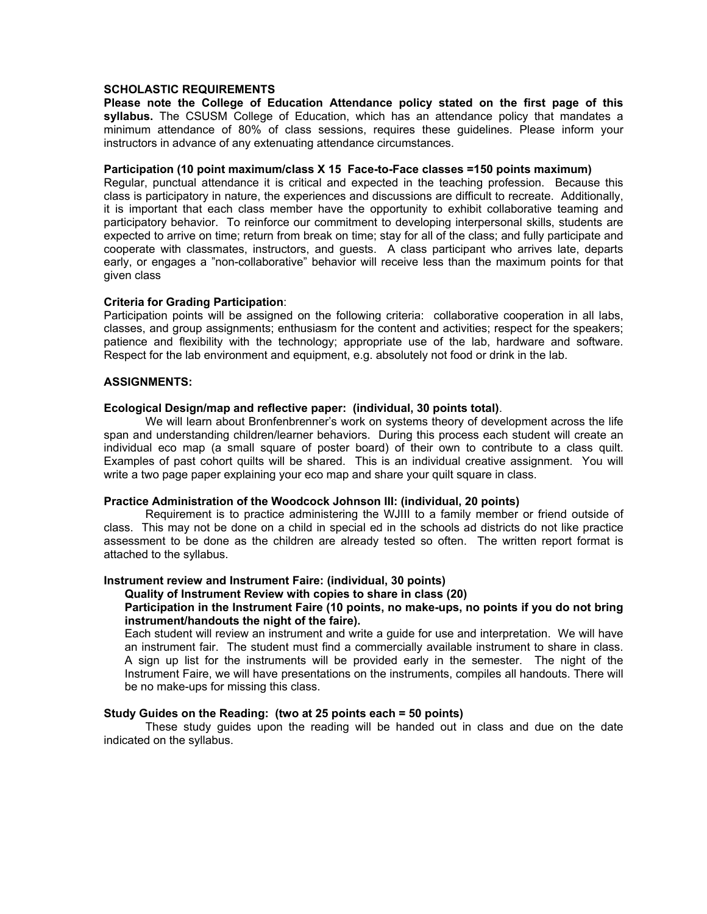## **SCHOLASTIC REQUIREMENTS**

**Please note the College of Education Attendance policy stated on the first page of this syllabus.** The CSUSM College of Education, which has an attendance policy that mandates a minimum attendance of 80% of class sessions, requires these guidelines. Please inform your instructors in advance of any extenuating attendance circumstances.

#### **Participation (10 point maximum/class X 15 Face-to-Face classes =150 points maximum)**

Regular, punctual attendance it is critical and expected in the teaching profession. Because this class is participatory in nature, the experiences and discussions are difficult to recreate. Additionally, it is important that each class member have the opportunity to exhibit collaborative teaming and participatory behavior. To reinforce our commitment to developing interpersonal skills, students are expected to arrive on time; return from break on time; stay for all of the class; and fully participate and cooperate with classmates, instructors, and guests. A class participant who arrives late, departs early, or engages a "non-collaborative" behavior will receive less than the maximum points for that given class

### **Criteria for Grading Participation**:

Participation points will be assigned on the following criteria: collaborative cooperation in all labs, classes, and group assignments; enthusiasm for the content and activities; respect for the speakers; patience and flexibility with the technology; appropriate use of the lab, hardware and software. Respect for the lab environment and equipment, e.g. absolutely not food or drink in the lab.

### **ASSIGNMENTS:**

### **Ecological Design/map and reflective paper: (individual, 30 points total)**.

 We will learn about Bronfenbrenner's work on systems theory of development across the life span and understanding children/learner behaviors. During this process each student will create an individual eco map (a small square of poster board) of their own to contribute to a class quilt. Examples of past cohort quilts will be shared. This is an individual creative assignment. You will write a two page paper explaining your eco map and share your quilt square in class.

## **Practice Administration of the Woodcock Johnson III: (individual, 20 points)**

 Requirement is to practice administering the WJIII to a family member or friend outside of class. This may not be done on a child in special ed in the schools ad districts do not like practice assessment to be done as the children are already tested so often. The written report format is attached to the syllabus.

#### **Instrument review and Instrument Faire: (individual, 30 points)**

#### **Quality of Instrument Review with copies to share in class (20)**

## **Participation in the Instrument Faire (10 points, no make-ups, no points if you do not bring instrument/handouts the night of the faire).**

Each student will review an instrument and write a guide for use and interpretation. We will have an instrument fair. The student must find a commercially available instrument to share in class. A sign up list for the instruments will be provided early in the semester. The night of the Instrument Faire, we will have presentations on the instruments, compiles all handouts. There will be no make-ups for missing this class.

## **Study Guides on the Reading: (two at 25 points each = 50 points)**

These study guides upon the reading will be handed out in class and due on the date indicated on the syllabus.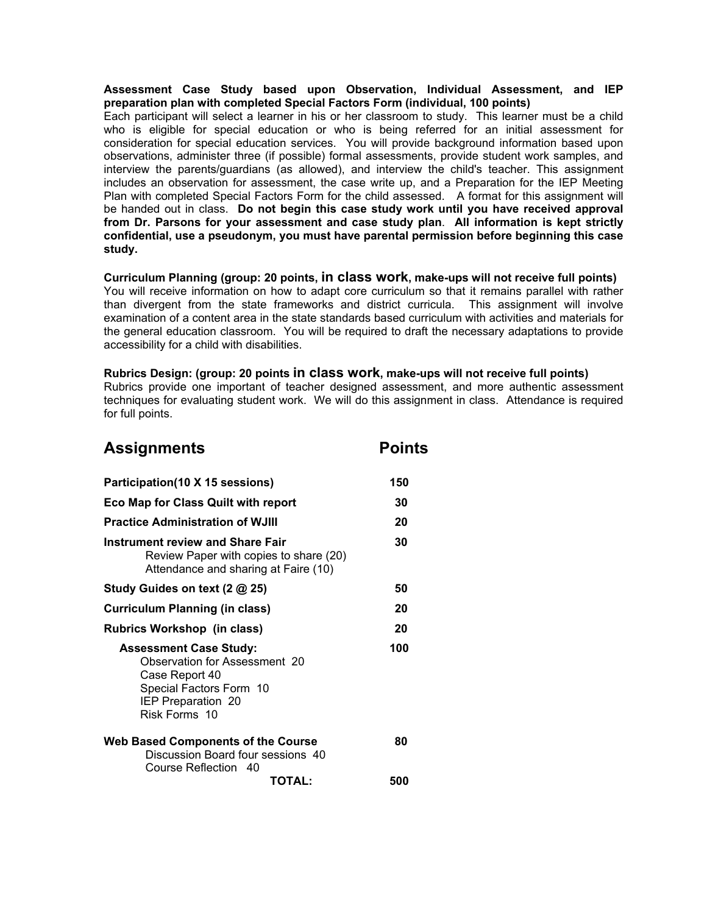## **Assessment Case Study based upon Observation, Individual Assessment, and IEP preparation plan with completed Special Factors Form (individual, 100 points)**

Each participant will select a learner in his or her classroom to study. This learner must be a child who is eligible for special education or who is being referred for an initial assessment for consideration for special education services. You will provide background information based upon observations, administer three (if possible) formal assessments, provide student work samples, and interview the parents/guardians (as allowed), and interview the child's teacher. This assignment includes an observation for assessment, the case write up, and a Preparation for the IEP Meeting Plan with completed Special Factors Form for the child assessed. A format for this assignment will be handed out in class. **Do not begin this case study work until you have received approval from Dr. Parsons for your assessment and case study plan**. **All information is kept strictly confidential, use a pseudonym, you must have parental permission before beginning this case study.** 

## **Curriculum Planning (group: 20 points, in class work, make-ups will not receive full points)**

You will receive information on how to adapt core curriculum so that it remains parallel with rather than divergent from the state frameworks and district curricula. This assignment will involve examination of a content area in the state standards based curriculum with activities and materials for the general education classroom. You will be required to draft the necessary adaptations to provide accessibility for a child with disabilities.

## **Rubrics Design: (group: 20 points in class work, make-ups will not receive full points)**

Rubrics provide one important of teacher designed assessment, and more authentic assessment techniques for evaluating student work. We will do this assignment in class. Attendance is required for full points.

| <b>Assignments</b>                                                                                                                                 | <b>Points</b> |
|----------------------------------------------------------------------------------------------------------------------------------------------------|---------------|
| Participation(10 X 15 sessions)                                                                                                                    | 150           |
| Eco Map for Class Quilt with report                                                                                                                | 30            |
| <b>Practice Administration of WJIII</b>                                                                                                            | 20            |
| <b>Instrument review and Share Fair</b><br>Review Paper with copies to share (20)<br>Attendance and sharing at Faire (10)                          | 30            |
| Study Guides on text (2 @ 25)                                                                                                                      | 50            |
| <b>Curriculum Planning (in class)</b>                                                                                                              | 20            |
| <b>Rubrics Workshop (in class)</b>                                                                                                                 | 20            |
| <b>Assessment Case Study:</b><br>Observation for Assessment 20<br>Case Report 40<br>Special Factors Form 10<br>IEP Preparation 20<br>Risk Forms 10 | 100           |
| <b>Web Based Components of the Course</b><br>Discussion Board four sessions 40<br>Course Reflection 40                                             | 80            |
|                                                                                                                                                    | TOTAL:<br>500 |